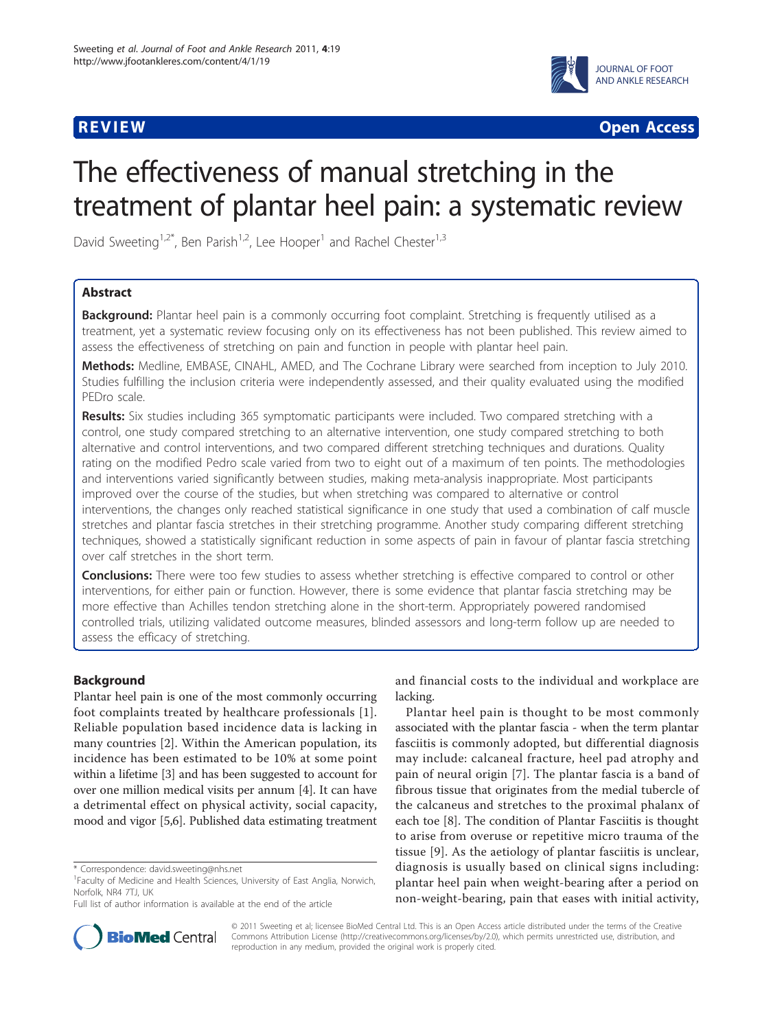

**REVIEW CONSTRUCTION CONSTRUCTION CONSTRUCTS** 

# The effectiveness of manual stretching in the treatment of plantar heel pain: a systematic review

David Sweeting<sup>1,2\*</sup>, Ben Parish<sup>1,2</sup>, Lee Hooper<sup>1</sup> and Rachel Chester<sup>1,3</sup>

# Abstract

Background: Plantar heel pain is a commonly occurring foot complaint. Stretching is frequently utilised as a treatment, yet a systematic review focusing only on its effectiveness has not been published. This review aimed to assess the effectiveness of stretching on pain and function in people with plantar heel pain.

Methods: Medline, EMBASE, CINAHL, AMED, and The Cochrane Library were searched from inception to July 2010. Studies fulfilling the inclusion criteria were independently assessed, and their quality evaluated using the modified PEDro scale.

Results: Six studies including 365 symptomatic participants were included. Two compared stretching with a control, one study compared stretching to an alternative intervention, one study compared stretching to both alternative and control interventions, and two compared different stretching techniques and durations. Quality rating on the modified Pedro scale varied from two to eight out of a maximum of ten points. The methodologies and interventions varied significantly between studies, making meta-analysis inappropriate. Most participants improved over the course of the studies, but when stretching was compared to alternative or control interventions, the changes only reached statistical significance in one study that used a combination of calf muscle stretches and plantar fascia stretches in their stretching programme. Another study comparing different stretching techniques, showed a statistically significant reduction in some aspects of pain in favour of plantar fascia stretching over calf stretches in the short term.

Conclusions: There were too few studies to assess whether stretching is effective compared to control or other interventions, for either pain or function. However, there is some evidence that plantar fascia stretching may be more effective than Achilles tendon stretching alone in the short-term. Appropriately powered randomised controlled trials, utilizing validated outcome measures, blinded assessors and long-term follow up are needed to assess the efficacy of stretching.

# Background

Plantar heel pain is one of the most commonly occurring foot complaints treated by healthcare professionals [[1](#page-11-0)]. Reliable population based incidence data is lacking in many countries [[2\]](#page-11-0). Within the American population, its incidence has been estimated to be 10% at some point within a lifetime [\[3](#page-11-0)] and has been suggested to account for over one million medical visits per annum [\[4](#page-11-0)]. It can have a detrimental effect on physical activity, social capacity, mood and vigor [\[5,6\]](#page-11-0). Published data estimating treatment

and financial costs to the individual and workplace are lacking.

Plantar heel pain is thought to be most commonly associated with the plantar fascia - when the term plantar fasciitis is commonly adopted, but differential diagnosis may include: calcaneal fracture, heel pad atrophy and pain of neural origin [[7\]](#page-11-0). The plantar fascia is a band of fibrous tissue that originates from the medial tubercle of the calcaneus and stretches to the proximal phalanx of each toe [[8\]](#page-11-0). The condition of Plantar Fasciitis is thought to arise from overuse or repetitive micro trauma of the tissue [[9\]](#page-11-0). As the aetiology of plantar fasciitis is unclear, diagnosis is usually based on clinical signs including: plantar heel pain when weight-bearing after a period on non-weight-bearing, pain that eases with initial activity,



© 2011 Sweeting et al; licensee BioMed Central Ltd. This is an Open Access article distributed under the terms of the Creative Commons Attribution License [\(http://creativecommons.org/licenses/by/2.0](http://creativecommons.org/licenses/by/2.0)), which permits unrestricted use, distribution, and reproduction in any medium, provided the original work is properly cited.

<sup>\*</sup> Correspondence: [david.sweeting@nhs.net](mailto:david.sweeting@nhs.net)

<sup>&</sup>lt;sup>1</sup> Faculty of Medicine and Health Sciences, University of East Anglia, Norwich, Norfolk, NR4 7TJ, UK

Full list of author information is available at the end of the article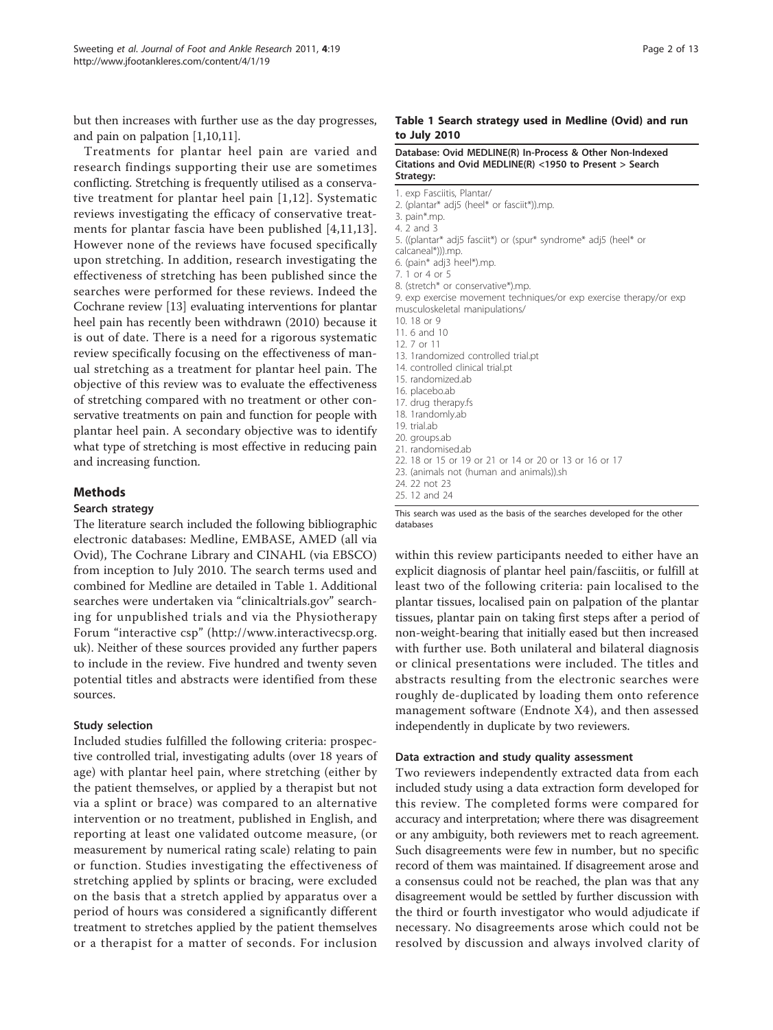but then increases with further use as the day progresses, and pain on palpation [[1](#page-11-0),[10,11](#page-11-0)].

Treatments for plantar heel pain are varied and research findings supporting their use are sometimes conflicting. Stretching is frequently utilised as a conservative treatment for plantar heel pain [\[1,12](#page-11-0)]. Systematic reviews investigating the efficacy of conservative treatments for plantar fascia have been published [[4,11](#page-11-0),[13\]](#page-11-0). However none of the reviews have focused specifically upon stretching. In addition, research investigating the effectiveness of stretching has been published since the searches were performed for these reviews. Indeed the Cochrane review [\[13\]](#page-11-0) evaluating interventions for plantar heel pain has recently been withdrawn (2010) because it is out of date. There is a need for a rigorous systematic review specifically focusing on the effectiveness of manual stretching as a treatment for plantar heel pain. The objective of this review was to evaluate the effectiveness of stretching compared with no treatment or other conservative treatments on pain and function for people with plantar heel pain. A secondary objective was to identify what type of stretching is most effective in reducing pain and increasing function.

# Methods

# Search strategy

The literature search included the following bibliographic electronic databases: Medline, EMBASE, AMED (all via Ovid), The Cochrane Library and CINAHL (via EBSCO) from inception to July 2010. The search terms used and combined for Medline are detailed in Table 1. Additional searches were undertaken via "clinicaltrials.gov" searching for unpublished trials and via the Physiotherapy Forum "interactive csp" ([http://www.interactivecsp.org.](http://www.interactivecsp.org.uk) [uk\)](http://www.interactivecsp.org.uk). Neither of these sources provided any further papers to include in the review. Five hundred and twenty seven potential titles and abstracts were identified from these sources.

# Study selection

Included studies fulfilled the following criteria: prospective controlled trial, investigating adults (over 18 years of age) with plantar heel pain, where stretching (either by the patient themselves, or applied by a therapist but not via a splint or brace) was compared to an alternative intervention or no treatment, published in English, and reporting at least one validated outcome measure, (or measurement by numerical rating scale) relating to pain or function. Studies investigating the effectiveness of stretching applied by splints or bracing, were excluded on the basis that a stretch applied by apparatus over a period of hours was considered a significantly different treatment to stretches applied by the patient themselves or a therapist for a matter of seconds. For inclusion

# Table 1 Search strategy used in Medline (Ovid) and run to July 2010

#### Database: Ovid MEDLINE(R) In-Process & Other Non-Indexed Citations and Ovid MEDLINE(R) <1950 to Present > Search Strategy<sup>.</sup>

| 1. exp Fasciitis, Plantar/<br>2. (plantar* adj5 (heel* or fasciit*)).mp.                             |
|------------------------------------------------------------------------------------------------------|
| 3. pain*.mp.                                                                                         |
| 4. 2 and 3<br>5. ((plantar* adj5 fasciit*) or (spur* syndrome* adj5 (heel* or                        |
| calcaneal*))).mp.                                                                                    |
| 6. (pain* adj3 heel*).mp.                                                                            |
| 7. 1 or 4 or 5                                                                                       |
| 8. (stretch* or conservative*).mp.                                                                   |
| 9. exp exercise movement techniques/or exp exercise therapy/or exp<br>musculoskeletal manipulations/ |
| 10.18 or 9                                                                                           |
| 11.6 and 10                                                                                          |
| 12. 7 or 11                                                                                          |
| 13. 1randomized controlled trial.pt                                                                  |
| 14. controlled clinical trial.pt                                                                     |
| 15. randomized.ab                                                                                    |
| 16. placebo.ab<br>17. drug therapy.fs                                                                |
| 18. 1randomly.ab                                                                                     |
| 19. trial.ab                                                                                         |
| 20. groups.ab                                                                                        |
| 21. randomised.ab                                                                                    |
| 22. 18 or 15 or 19 or 21 or 14 or 20 or 13 or 16 or 17                                               |
| 23. (animals not (human and animals)).sh                                                             |
| 24. 22 not 23                                                                                        |
| 25. 12 and 24                                                                                        |

This search was used as the basis of the searches developed for the other databases

within this review participants needed to either have an explicit diagnosis of plantar heel pain/fasciitis, or fulfill at least two of the following criteria: pain localised to the plantar tissues, localised pain on palpation of the plantar tissues, plantar pain on taking first steps after a period of non-weight-bearing that initially eased but then increased with further use. Both unilateral and bilateral diagnosis or clinical presentations were included. The titles and abstracts resulting from the electronic searches were roughly de-duplicated by loading them onto reference management software (Endnote X4), and then assessed independently in duplicate by two reviewers.

#### Data extraction and study quality assessment

Two reviewers independently extracted data from each included study using a data extraction form developed for this review. The completed forms were compared for accuracy and interpretation; where there was disagreement or any ambiguity, both reviewers met to reach agreement. Such disagreements were few in number, but no specific record of them was maintained. If disagreement arose and a consensus could not be reached, the plan was that any disagreement would be settled by further discussion with the third or fourth investigator who would adjudicate if necessary. No disagreements arose which could not be resolved by discussion and always involved clarity of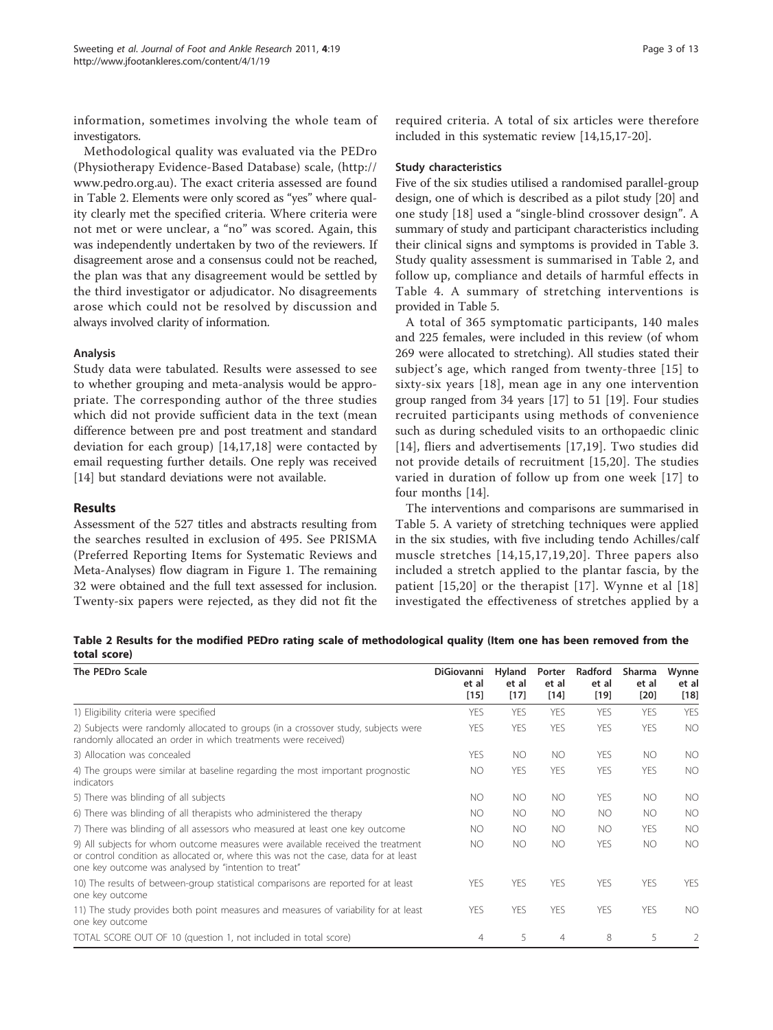<span id="page-2-0"></span>information, sometimes involving the whole team of investigators.

Methodological quality was evaluated via the PEDro (Physiotherapy Evidence-Based Database) scale, ([http://](http://www.pedro.org.au) [www.pedro.org.au\)](http://www.pedro.org.au). The exact criteria assessed are found in Table 2. Elements were only scored as "yes" where quality clearly met the specified criteria. Where criteria were not met or were unclear, a "no" was scored. Again, this was independently undertaken by two of the reviewers. If disagreement arose and a consensus could not be reached, the plan was that any disagreement would be settled by the third investigator or adjudicator. No disagreements arose which could not be resolved by discussion and always involved clarity of information.

# Analysis

Study data were tabulated. Results were assessed to see to whether grouping and meta-analysis would be appropriate. The corresponding author of the three studies which did not provide sufficient data in the text (mean difference between pre and post treatment and standard deviation for each group) [[14,17,18](#page-11-0)] were contacted by email requesting further details. One reply was received [[14\]](#page-11-0) but standard deviations were not available.

# Results

Assessment of the 527 titles and abstracts resulting from the searches resulted in exclusion of 495. See PRISMA (Preferred Reporting Items for Systematic Reviews and Meta-Analyses) flow diagram in Figure [1.](#page-3-0) The remaining 32 were obtained and the full text assessed for inclusion. Twenty-six papers were rejected, as they did not fit the

required criteria. A total of six articles were therefore included in this systematic review [[14,15,17-20\]](#page-11-0).

# Study characteristics

Five of the six studies utilised a randomised parallel-group design, one of which is described as a pilot study [[20\]](#page-11-0) and one study [[18\]](#page-11-0) used a "single-blind crossover design". A summary of study and participant characteristics including their clinical signs and symptoms is provided in Table [3](#page-4-0). Study quality assessment is summarised in Table 2, and follow up, compliance and details of harmful effects in Table [4.](#page-5-0) A summary of stretching interventions is provided in Table [5.](#page-5-0)

A total of 365 symptomatic participants, 140 males and 225 females, were included in this review (of whom 269 were allocated to stretching). All studies stated their subject's age, which ranged from twenty-three [[15](#page-11-0)] to sixty-six years [[18\]](#page-11-0), mean age in any one intervention group ranged from 34 years [[17\]](#page-11-0) to 51 [[19\]](#page-11-0). Four studies recruited participants using methods of convenience such as during scheduled visits to an orthopaedic clinic [[14](#page-11-0)], fliers and advertisements [\[17](#page-11-0),[19\]](#page-11-0). Two studies did not provide details of recruitment [\[15](#page-11-0),[20\]](#page-11-0). The studies varied in duration of follow up from one week [[17](#page-11-0)] to four months [\[14\]](#page-11-0).

The interventions and comparisons are summarised in Table [5](#page-5-0). A variety of stretching techniques were applied in the six studies, with five including tendo Achilles/calf muscle stretches [[14,15,17,19](#page-11-0),[20](#page-11-0)]. Three papers also included a stretch applied to the plantar fascia, by the patient [[15,20](#page-11-0)] or the therapist [[17\]](#page-11-0). Wynne et al [[18](#page-11-0)] investigated the effectiveness of stretches applied by a

Table 2 Results for the modified PEDro rating scale of methodological quality (Item one has been removed from the total score)

| The PEDro Scale                                                                                                                                                                                                                 | <b>DiGiovanni</b><br>et al<br>$[15]$ | <b>Hyland</b><br>et al<br>$[17]$ | Porter<br>et al<br>$[14]$ | Radford<br>et al<br>$[19]$ | <b>Sharma</b><br>et al<br>$[20]$ | Wynne<br>et al<br>$[18]$ |
|---------------------------------------------------------------------------------------------------------------------------------------------------------------------------------------------------------------------------------|--------------------------------------|----------------------------------|---------------------------|----------------------------|----------------------------------|--------------------------|
| 1) Eligibility criteria were specified                                                                                                                                                                                          | <b>YES</b>                           | <b>YES</b>                       | <b>YES</b>                | YES                        | <b>YES</b>                       | YES                      |
| 2) Subjects were randomly allocated to groups (in a crossover study, subjects were<br>randomly allocated an order in which treatments were received)                                                                            | YES                                  | <b>YES</b>                       | <b>YES</b>                | <b>YES</b>                 | <b>YES</b>                       | <b>NO</b>                |
| 3) Allocation was concealed                                                                                                                                                                                                     | YES                                  | NO.                              | <b>NO</b>                 | YES                        | NO.                              | NO.                      |
| 4) The groups were similar at baseline regarding the most important prognostic<br>indicators                                                                                                                                    | NO.                                  | <b>YES</b>                       | <b>YES</b>                | YES                        | <b>YES</b>                       | <b>NO</b>                |
| 5) There was blinding of all subjects                                                                                                                                                                                           | NO.                                  | NO.                              | <b>NO</b>                 | YES                        | NO.                              | <b>NO</b>                |
| 6) There was blinding of all therapists who administered the therapy                                                                                                                                                            | NO.                                  | NO.                              | <b>NO</b>                 | NO.                        | NO.                              | NO                       |
| 7) There was blinding of all assessors who measured at least one key outcome                                                                                                                                                    | NO.                                  | NO.                              | <b>NO</b>                 | NO.                        | <b>YES</b>                       | <b>NO</b>                |
| 9) All subjects for whom outcome measures were available received the treatment<br>or control condition as allocated or, where this was not the case, data for at least<br>one key outcome was analysed by "intention to treat" | NO.                                  | NO.                              | <b>NO</b>                 | YES                        | NO.                              | <b>NO</b>                |
| 10) The results of between-group statistical comparisons are reported for at least<br>one key outcome                                                                                                                           | YES                                  | <b>YES</b>                       | <b>YES</b>                | YES                        | <b>YES</b>                       | <b>YES</b>               |
| 11) The study provides both point measures and measures of variability for at least<br>one key outcome                                                                                                                          | YES                                  | <b>YES</b>                       | <b>YES</b>                | <b>YES</b>                 | <b>YES</b>                       | <b>NO</b>                |
| TOTAL SCORE OUT OF 10 (question 1, not included in total score)                                                                                                                                                                 | 4                                    | 5                                | 4                         | 8                          | 5                                | 2                        |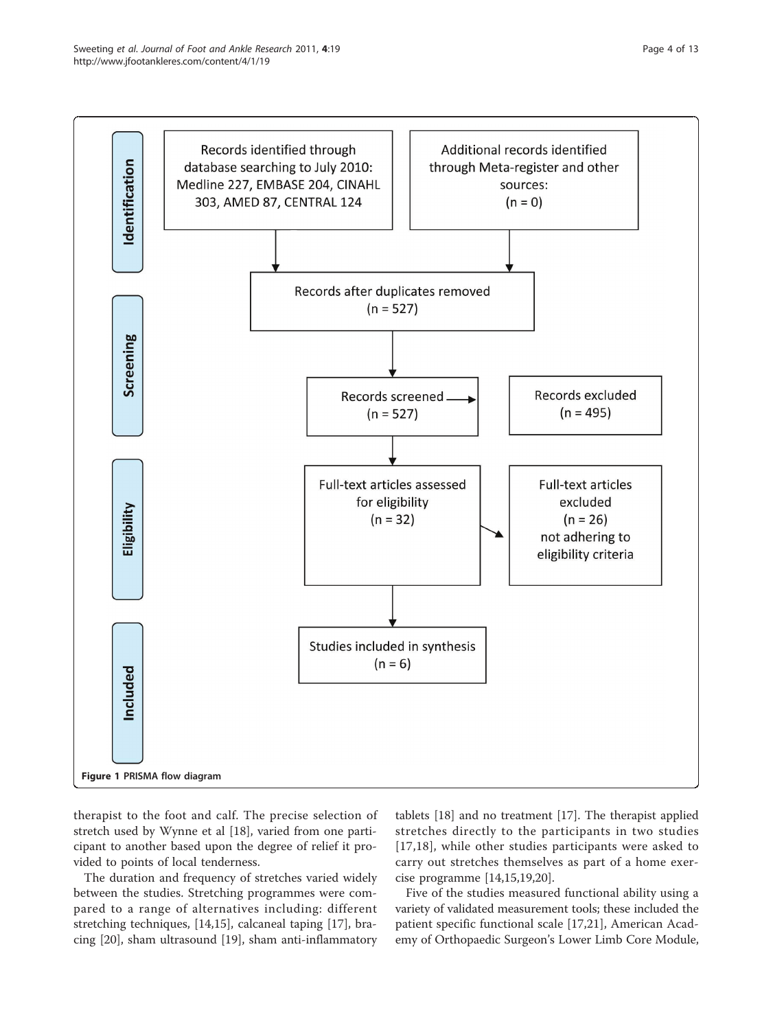<span id="page-3-0"></span>

therapist to the foot and calf. The precise selection of stretch used by Wynne et al [[18\]](#page-11-0), varied from one participant to another based upon the degree of relief it provided to points of local tenderness.

The duration and frequency of stretches varied widely between the studies. Stretching programmes were compared to a range of alternatives including: different stretching techniques, [[14,15\]](#page-11-0), calcaneal taping [\[17](#page-11-0)], bracing [\[20\]](#page-11-0), sham ultrasound [[19](#page-11-0)], sham anti-inflammatory tablets [[18](#page-11-0)] and no treatment [\[17](#page-11-0)]. The therapist applied stretches directly to the participants in two studies [[17](#page-11-0),[18\]](#page-11-0), while other studies participants were asked to carry out stretches themselves as part of a home exercise programme [[14](#page-11-0),[15](#page-11-0),[19,20](#page-11-0)].

Five of the studies measured functional ability using a variety of validated measurement tools; these included the patient specific functional scale [\[17](#page-11-0)[,21](#page-12-0)], American Academy of Orthopaedic Surgeon's Lower Limb Core Module,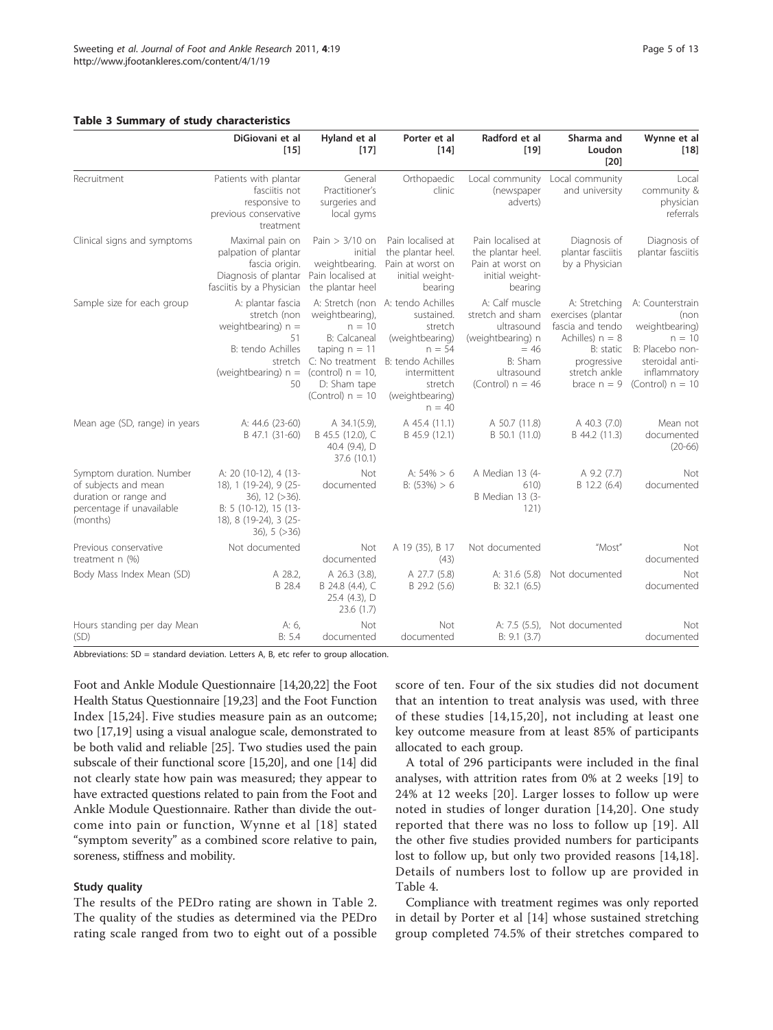#### <span id="page-4-0"></span>Table 3 Summary of study characteristics

|                                                                                                                    | DiGiovani et al<br>$[15]$                                                                                                                     | Hyland et al<br>$[17]$                                                                                                                          | Porter et al<br>$[14]$                                                                                                                                                   | Radford et al<br>$[19]$                                                                                                        | Sharma and<br>Loudon<br>$[20]$                                                                                                             | Wynne et al<br>$[18]$                                                                                                              |
|--------------------------------------------------------------------------------------------------------------------|-----------------------------------------------------------------------------------------------------------------------------------------------|-------------------------------------------------------------------------------------------------------------------------------------------------|--------------------------------------------------------------------------------------------------------------------------------------------------------------------------|--------------------------------------------------------------------------------------------------------------------------------|--------------------------------------------------------------------------------------------------------------------------------------------|------------------------------------------------------------------------------------------------------------------------------------|
| Recruitment                                                                                                        | Patients with plantar<br>fasciitis not<br>responsive to<br>previous conservative<br>treatment                                                 | General<br>Practitioner's<br>surgeries and<br>local gyms                                                                                        | Orthopaedic<br>clinic                                                                                                                                                    | (newspaper<br>adverts)                                                                                                         | Local community Local community<br>and university                                                                                          | Local<br>community &<br>physician<br>referrals                                                                                     |
| Clinical signs and symptoms                                                                                        | Maximal pain on<br>palpation of plantar<br>fascia origin.<br>Diagnosis of plantar<br>fasciitis by a Physician                                 | Pain $> 3/10$ on<br>initial<br>weightbearing.<br>Pain localised at<br>the plantar heel                                                          | Pain localised at<br>the plantar heel.<br>Pain at worst on<br>initial weight-<br>bearing                                                                                 | Pain localised at<br>the plantar heel.<br>Pain at worst on<br>initial weight-<br>bearing                                       | Diagnosis of<br>plantar fasciitis<br>by a Physician                                                                                        | Diagnosis of<br>plantar fasciitis                                                                                                  |
| Sample size for each group                                                                                         | A: plantar fascia<br>stretch (non<br>weightbearing) $n =$<br>51<br>B: tendo Achilles<br>stretch<br>(weightbearing) $n =$<br>50                | weightbearing),<br>$n = 10$<br>B: Calcaneal<br>taping $n = 11$<br>C: No treatment<br>(control) $n = 10$ ,<br>D: Sham tape<br>(Control) $n = 10$ | A: Stretch (non A: tendo Achilles<br>sustained.<br>stretch<br>(weightbearing)<br>$n = 54$<br>B: tendo Achilles<br>intermittent<br>stretch<br>(weightbearing)<br>$n = 40$ | A: Calf muscle<br>stretch and sham<br>ultrasound<br>(weightbearing) n<br>$= 46$<br>B: Sham<br>ultrasound<br>(Control) $n = 46$ | A: Stretching<br>exercises (plantar<br>fascia and tendo<br>Achilles) $n = 8$<br>B: static<br>progressive<br>stretch ankle<br>brace $n = 9$ | A: Counterstrain<br>(non<br>weightbearing)<br>$n = 10$<br>B: Placebo non-<br>steroidal anti-<br>inflammatory<br>(Control) $n = 10$ |
| Mean age (SD, range) in years                                                                                      | A: 44.6 (23-60)<br>B 47.1 (31-60)                                                                                                             | A 34.1(5.9),<br>B 45.5 (12.0), C<br>40.4 (9.4), D<br>37.6 (10.1)                                                                                | A 45.4 (11.1)<br>B 45.9 (12.1)                                                                                                                                           | A 50.7 (11.8)<br>B 50.1 (11.0)                                                                                                 | A 40.3 (7.0)<br>B 44.2 (11.3)                                                                                                              | Mean not<br>documented<br>$(20-66)$                                                                                                |
| Symptom duration. Number<br>of subjects and mean<br>duration or range and<br>percentage if unavailable<br>(months) | A: 20 (10-12), 4 (13-<br>18), 1 (19-24), 9 (25-<br>$36$ , 12 $(>36)$ .<br>B: 5 (10-12), 15 (13-<br>18), 8 (19-24), 3 (25-<br>$36$ , 5 $(>36)$ | Not<br>documented                                                                                                                               | A: $54\% > 6$<br>B: $(53%) > 6$                                                                                                                                          | A Median 13 (4-<br>610)<br>B Median 13 (3-<br>121)                                                                             | A 9.2 (7.7)<br>B 12.2 (6.4)                                                                                                                | Not<br>documented                                                                                                                  |
| Previous conservative<br>treatment n (%)                                                                           | Not documented                                                                                                                                | Not<br>documented                                                                                                                               | A 19 (35), B 17<br>(43)                                                                                                                                                  | Not documented                                                                                                                 | "Most"                                                                                                                                     | Not<br>documented                                                                                                                  |
| Body Mass Index Mean (SD)                                                                                          | A 28.2,<br>B 28.4                                                                                                                             | A 26.3 (3.8),<br>B 24.8 (4.4), C<br>25.4 (4.3), D<br>23.6(1.7)                                                                                  | A 27.7 (5.8)<br>B 29.2 (5.6)                                                                                                                                             | A: 31.6 (5.8)<br>B: 32.1 (6.5)                                                                                                 | Not documented                                                                                                                             | Not<br>documented                                                                                                                  |
| Hours standing per day Mean<br>(SD)                                                                                | A: 6,<br>B: 5.4                                                                                                                               | Not<br>documented                                                                                                                               | Not<br>documented                                                                                                                                                        | A: $7.5$ (5.5),<br>B: 9.1 (3.7)                                                                                                | Not documented                                                                                                                             | Not<br>documented                                                                                                                  |

Abbreviations: SD = standard deviation. Letters A, B, etc refer to group allocation.

Foot and Ankle Module Questionnaire [\[14,20](#page-11-0)[,22](#page-12-0)] the Foot Health Status Questionnaire [[19](#page-11-0)[,23\]](#page-12-0) and the Foot Function Index [[15](#page-11-0),[24\]](#page-12-0). Five studies measure pain as an outcome; two [\[17,19](#page-11-0)] using a visual analogue scale, demonstrated to be both valid and reliable [[25\]](#page-12-0). Two studies used the pain subscale of their functional score [[15,20](#page-11-0)], and one [\[14\]](#page-11-0) did not clearly state how pain was measured; they appear to have extracted questions related to pain from the Foot and Ankle Module Questionnaire. Rather than divide the outcome into pain or function, Wynne et al [[18](#page-11-0)] stated "symptom severity" as a combined score relative to pain, soreness, stiffness and mobility.

# Study quality

The results of the PEDro rating are shown in Table [2](#page-2-0). The quality of the studies as determined via the PEDro rating scale ranged from two to eight out of a possible

score of ten. Four of the six studies did not document that an intention to treat analysis was used, with three of these studies [[14,15](#page-11-0),[20](#page-11-0)], not including at least one key outcome measure from at least 85% of participants allocated to each group.

A total of 296 participants were included in the final analyses, with attrition rates from 0% at 2 weeks [[19\]](#page-11-0) to 24% at 12 weeks [[20](#page-11-0)]. Larger losses to follow up were noted in studies of longer duration [[14,20](#page-11-0)]. One study reported that there was no loss to follow up [\[19\]](#page-11-0). All the other five studies provided numbers for participants lost to follow up, but only two provided reasons [\[14,18](#page-11-0)]. Details of numbers lost to follow up are provided in Table [4.](#page-5-0)

Compliance with treatment regimes was only reported in detail by Porter et al [[14\]](#page-11-0) whose sustained stretching group completed 74.5% of their stretches compared to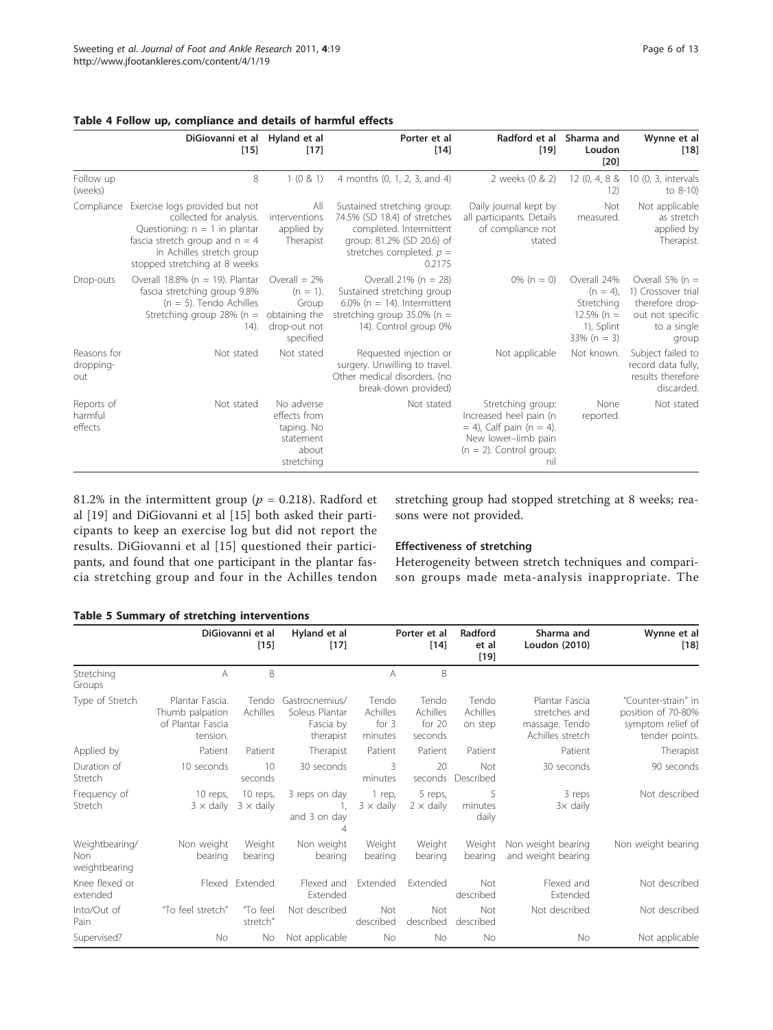<span id="page-5-0"></span>

| Table 4 Follow up, compliance and details of harmful effects |  |  |  |  |  |
|--------------------------------------------------------------|--|--|--|--|--|
|--------------------------------------------------------------|--|--|--|--|--|

|                                  | DiGiovanni et al Hyland et al<br>$[15]$                                                                                                                                                        | $[17]$                                                                                | Porter et al<br>$[14]$                                                                                                                                      | Radford et al<br>$[19]$                                                                                                                 | Sharma and<br>Loudon<br>$[20]$                                                            | Wynne et al<br>$[18]$                                                                                   |
|----------------------------------|------------------------------------------------------------------------------------------------------------------------------------------------------------------------------------------------|---------------------------------------------------------------------------------------|-------------------------------------------------------------------------------------------------------------------------------------------------------------|-----------------------------------------------------------------------------------------------------------------------------------------|-------------------------------------------------------------------------------------------|---------------------------------------------------------------------------------------------------------|
| Follow up<br>(weeks)             | 8                                                                                                                                                                                              | 1(0.81)                                                                               | 4 months (0, 1, 2, 3, and 4)                                                                                                                                | 2 weeks (0 & 2)                                                                                                                         | $12(0, 4, 8 \&$<br>12)                                                                    | 10 (0, 3, intervals<br>to 8-10)                                                                         |
| Compliance                       | Exercise logs provided but not<br>collected for analysis.<br>Questioning: $n = 1$ in plantar<br>fascia stretch group and $n = 4$<br>in Achilles stretch group<br>stopped stretching at 8 weeks | All<br>interventions<br>applied by<br>Therapist                                       | Sustained stretching group:<br>74.5% (SD 18.4) of stretches<br>completed. Intermittent<br>group: 81.2% (SD 20.6) of<br>stretches completed. $p =$<br>0.2175 | Daily journal kept by<br>all participants. Details<br>of compliance not<br>stated                                                       | Not<br>measured.                                                                          | Not applicable<br>as stretch<br>applied by<br>Therapist.                                                |
| Drop-outs                        | Overall $18.8\%$ (n = 19). Plantar<br>fascia stretching group 9.8%<br>$(n = 5)$ . Tendo Achilles<br>Stretching group 28% ( $n =$<br>$(14)$ .                                                   | Overall $= 2\%$<br>$(n = 1)$ .<br>Group<br>obtaining the<br>drop-out not<br>specified | Overall $21\%$ (n = 28)<br>Sustained stretching group<br>$6.0\%$ (n = 14). Intermittent<br>stretching group $35.0\%$ (n =<br>14). Control group 0%          | $0\%$ (n = 0)                                                                                                                           | Overall 24%<br>$(n = 4)$ .<br>Stretching<br>$12.5\%$ (n =<br>1), Splint<br>$33\% (n = 3)$ | Overall 5% ( $n =$<br>1) Crossover trial<br>therefore drop-<br>out not specific<br>to a single<br>group |
| Reasons for<br>dropping-<br>out  | Not stated                                                                                                                                                                                     | Not stated                                                                            | Requested injection or<br>surgery. Unwilling to travel.<br>Other medical disorders. (no<br>break-down provided)                                             | Not applicable                                                                                                                          | Not known.                                                                                | Subject failed to<br>record data fully,<br>results therefore<br>discarded.                              |
| Reports of<br>harmful<br>effects | Not stated                                                                                                                                                                                     | No adverse<br>effects from<br>taping. No<br>statement<br>about<br>stretching          | Not stated                                                                                                                                                  | Stretching group:<br>Increased heel pain (n<br>$=$ 4), Calf pain (n $=$ 4).<br>New lower-limb pain<br>$(n = 2)$ . Control group:<br>nil | None<br>reported.                                                                         | Not stated                                                                                              |

81.2% in the intermittent group ( $p = 0.218$ ). Radford et al [\[19](#page-11-0)] and DiGiovanni et al [\[15](#page-11-0)] both asked their participants to keep an exercise log but did not report the results. DiGiovanni et al [[15](#page-11-0)] questioned their participants, and found that one participant in the plantar fascia stretching group and four in the Achilles tendon

stretching group had stopped stretching at 8 weeks; reasons were not provided.

# Effectiveness of stretching

Heterogeneity between stretch techniques and comparison groups made meta-analysis inappropriate. The

# Table 5 Summary of stretching interventions

|                                        |                                                                     | DiGiovanni et al<br>$[15]$   | Hyland et al<br>$[17]$                                     |                                         | Porter et al<br>$[14]$                   | Radford<br>et al<br>$[19]$   | Sharma and<br>Loudon (2010)                                           | Wynne et al<br>$[18]$                                                            |
|----------------------------------------|---------------------------------------------------------------------|------------------------------|------------------------------------------------------------|-----------------------------------------|------------------------------------------|------------------------------|-----------------------------------------------------------------------|----------------------------------------------------------------------------------|
| Stretching<br>Groups                   | Α                                                                   | B                            |                                                            | A                                       | B                                        |                              |                                                                       |                                                                                  |
| Type of Stretch                        | Plantar Fascia.<br>Thumb palpation<br>of Plantar Fascia<br>tension. | Tendo<br>Achilles            | Gastrocnemius/<br>Soleus Plantar<br>Fascia by<br>therapist | Tendo<br>Achilles<br>for $3$<br>minutes | Tendo<br>Achilles<br>for $20$<br>seconds | Tendo<br>Achilles<br>on step | Plantar Fascia<br>stretches and<br>massage. Tendo<br>Achilles stretch | "Counter-strain" in<br>position of 70-80%<br>symptom relief of<br>tender points. |
| Applied by                             | Patient                                                             | Patient                      | Therapist                                                  | Patient                                 | Patient                                  | Patient                      | Patient                                                               | Therapist                                                                        |
| Duration of<br>Stretch                 | 10 seconds                                                          | 10<br>seconds                | 30 seconds                                                 | 3<br>minutes                            | 20<br>seconds                            | Not<br>Described             | 30 seconds                                                            | 90 seconds                                                                       |
| Frequency of<br>Stretch                | 10 reps,<br>$3 \times$ daily                                        | 10 reps,<br>$3 \times$ daily | 3 reps on day<br>and 3 on day<br>4                         | 1 rep,<br>$3 \times$ daily              | 5 reps,<br>$2 \times$ daily              | 5<br>minutes<br>daily        | 3 reps<br>$3\times$ daily                                             | Not described                                                                    |
| Weightbearing/<br>Non<br>weightbearing | Non weight<br>bearing                                               | Weight<br>bearing            | Non weight<br>bearing                                      | Weight<br>bearing                       | Weight<br>bearing                        | Weight<br>bearing            | Non weight bearing<br>and weight bearing                              | Non weight bearing                                                               |
| Knee flexed or<br>extended             | Flexed                                                              | Extended                     | Flexed and<br>Extended                                     | Extended                                | Extended                                 | Not<br>described             | Flexed and<br>Extended                                                | Not described                                                                    |
| Into/Out of<br>Pain                    | "To feel stretch"                                                   | "To feel<br>stretch"         | Not described                                              | Not<br>described                        | Not<br>described                         | Not<br>described             | Not described                                                         | Not described                                                                    |
| Supervised?                            | No                                                                  | No                           | Not applicable                                             | No                                      | No                                       | No                           | No                                                                    | Not applicable                                                                   |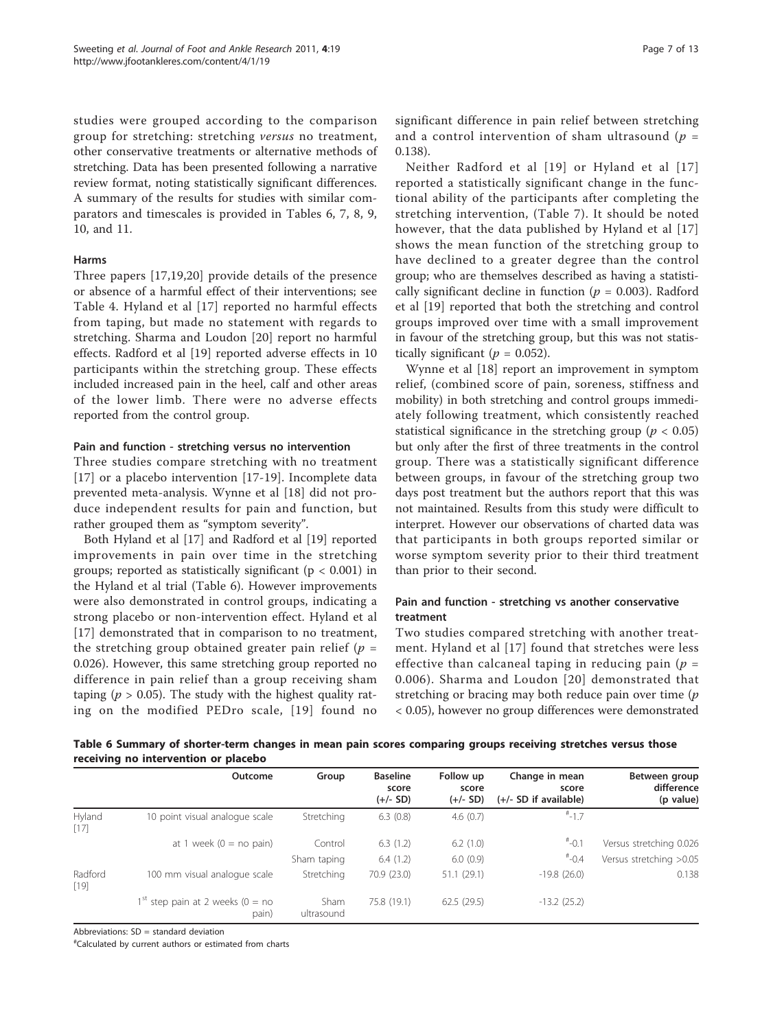studies were grouped according to the comparison group for stretching: stretching versus no treatment, other conservative treatments or alternative methods of stretching. Data has been presented following a narrative review format, noting statistically significant differences. A summary of the results for studies with similar comparators and timescales is provided in Tables 6, [7](#page-7-0), [8,](#page-7-0) [9](#page-8-0), [10](#page-8-0), and [11.](#page-9-0)

# Harms

Three papers [[17,19,20\]](#page-11-0) provide details of the presence or absence of a harmful effect of their interventions; see Table [4](#page-5-0). Hyland et al [[17](#page-11-0)] reported no harmful effects from taping, but made no statement with regards to stretching. Sharma and Loudon [\[20](#page-11-0)] report no harmful effects. Radford et al [[19\]](#page-11-0) reported adverse effects in 10 participants within the stretching group. These effects included increased pain in the heel, calf and other areas of the lower limb. There were no adverse effects reported from the control group.

# Pain and function - stretching versus no intervention

Three studies compare stretching with no treatment [[17\]](#page-11-0) or a placebo intervention [[17](#page-11-0)-[19\]](#page-11-0). Incomplete data prevented meta-analysis. Wynne et al [[18\]](#page-11-0) did not produce independent results for pain and function, but rather grouped them as "symptom severity".

Both Hyland et al [[17](#page-11-0)] and Radford et al [\[19](#page-11-0)] reported improvements in pain over time in the stretching groups; reported as statistically significant ( $p < 0.001$ ) in the Hyland et al trial (Table 6). However improvements were also demonstrated in control groups, indicating a strong placebo or non-intervention effect. Hyland et al [[17](#page-11-0)] demonstrated that in comparison to no treatment, the stretching group obtained greater pain relief ( $p =$ 0.026). However, this same stretching group reported no difference in pain relief than a group receiving sham taping ( $p > 0.05$ ). The study with the highest quality rating on the modified PEDro scale, [[19](#page-11-0)] found no

Neither Radford et al [[19\]](#page-11-0) or Hyland et al [[17](#page-11-0)] reported a statistically significant change in the functional ability of the participants after completing the stretching intervention, (Table [7\)](#page-7-0). It should be noted however, that the data published by Hyland et al [[17](#page-11-0)] shows the mean function of the stretching group to have declined to a greater degree than the control group; who are themselves described as having a statistically significant decline in function ( $p = 0.003$ ). Radford et al [[19\]](#page-11-0) reported that both the stretching and control groups improved over time with a small improvement in favour of the stretching group, but this was not statistically significant ( $p = 0.052$ ).

Wynne et al [[18\]](#page-11-0) report an improvement in symptom relief, (combined score of pain, soreness, stiffness and mobility) in both stretching and control groups immediately following treatment, which consistently reached statistical significance in the stretching group ( $p < 0.05$ ) but only after the first of three treatments in the control group. There was a statistically significant difference between groups, in favour of the stretching group two days post treatment but the authors report that this was not maintained. Results from this study were difficult to interpret. However our observations of charted data was that participants in both groups reported similar or worse symptom severity prior to their third treatment than prior to their second.

# Pain and function - stretching vs another conservative treatment

Two studies compared stretching with another treatment. Hyland et al [[17\]](#page-11-0) found that stretches were less effective than calcaneal taping in reducing pain ( $p =$ 0.006). Sharma and Loudon [[20\]](#page-11-0) demonstrated that stretching or bracing may both reduce pain over time  $(p)$ < 0.05), however no group differences were demonstrated

| Table 6 Summary of shorter-term changes in mean pain scores comparing groups receiving stretches versus those |  |  |
|---------------------------------------------------------------------------------------------------------------|--|--|
| receiving no intervention or placebo                                                                          |  |  |

|                   | Outcome                                        | Group              | <b>Baseline</b><br>score<br>(+/- SD) | Follow up<br>score<br>$(+/- SD)$ | Change in mean<br>score<br>(+/- SD if available) | Between group<br>difference<br>(p value) |
|-------------------|------------------------------------------------|--------------------|--------------------------------------|----------------------------------|--------------------------------------------------|------------------------------------------|
| Hyland<br>$[17]$  | 10 point visual analogue scale                 | Stretching         | 6.3(0.8)                             | 4.6(0.7)                         | $^{#}-1.7$                                       |                                          |
|                   | at 1 week $(0 = no \,\text{pain})$             | Control            | 6.3(1.2)                             | 6.2(1.0)                         | $^{#}$ -0.1                                      | Versus stretching 0.026                  |
|                   |                                                | Sham taping        | 6.4(1.2)                             | 6.0(0.9)                         | $^{#}$ -0.4                                      | Versus stretching > 0.05                 |
| Radford<br>$[19]$ | 100 mm visual analogue scale                   | Stretching         | 70.9 (23.0)                          | 51.1(29.1)                       | $-19.8(26.0)$                                    | 0.138                                    |
|                   | $1^{st}$ step pain at 2 weeks (0 = no<br>pain) | Sham<br>ultrasound | 75.8 (19.1)                          | 62.5(29.5)                       | $-13.2(25.2)$                                    |                                          |

Abbreviations:  $SD = standard deviation$ 

# Calculated by current authors or estimated from charts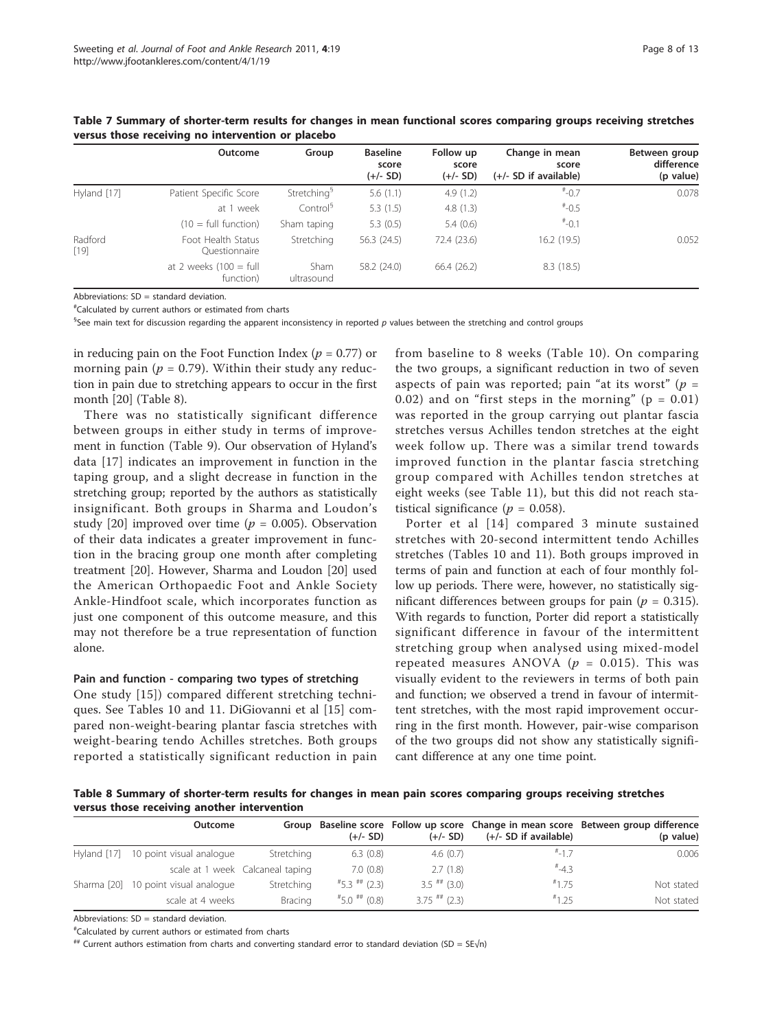<span id="page-7-0"></span>

| Table 7 Summary of shorter-term results for changes in mean functional scores comparing groups receiving stretches |  |  |  |
|--------------------------------------------------------------------------------------------------------------------|--|--|--|
| versus those receiving no intervention or placebo                                                                  |  |  |  |

|                   | Outcome                               | Group                     | <b>Baseline</b><br>score<br>$(+/- SD)$ | Follow up<br>score<br>$(+/- SD)$ | Change in mean<br>score<br>$(+/- SD$ if available) | Between group<br>difference<br>(p value) |
|-------------------|---------------------------------------|---------------------------|----------------------------------------|----------------------------------|----------------------------------------------------|------------------------------------------|
| Hyland [17]       | Patient Specific Score                | Stretching <sup>§</sup>   | 5.6(1.1)                               | 4.9(1.2)                         | $^{#}$ -0.7                                        | 0.078                                    |
|                   | at 1 week                             | Control <sup>9</sup>      | 5.3(1.5)                               | 4.8(1.3)                         | $^{#}$ -0.5                                        |                                          |
|                   | $(10 = full function)$                | Sham taping               | 5.3(0.5)                               | 5.4(0.6)                         | $^{#}$ -0.1                                        |                                          |
| Radford<br>$[19]$ | Foot Health Status<br>Questionnaire   | Stretching                | 56.3 (24.5)                            | 72.4 (23.6)                      | 16.2(19.5)                                         | 0.052                                    |
|                   | at 2 weeks $(100 = full$<br>function) | <b>Sham</b><br>ultrasound | 58.2 (24.0)                            | 66.4(26.2)                       | 8.3(18.5)                                          |                                          |

Abbreviations: SD = standard deviation.

# Calculated by current authors or estimated from charts

<sup>§</sup>See main text for discussion regarding the apparent inconsistency in reported p values between the stretching and control groups

in reducing pain on the Foot Function Index ( $p = 0.77$ ) or morning pain ( $p = 0.79$ ). Within their study any reduction in pain due to stretching appears to occur in the first month [[20](#page-11-0)] (Table 8).

There was no statistically significant difference between groups in either study in terms of improvement in function (Table [9\)](#page-8-0). Our observation of Hyland's data [[17\]](#page-11-0) indicates an improvement in function in the taping group, and a slight decrease in function in the stretching group; reported by the authors as statistically insignificant. Both groups in Sharma and Loudon's study [[20](#page-11-0)] improved over time ( $p = 0.005$ ). Observation of their data indicates a greater improvement in function in the bracing group one month after completing treatment [\[20](#page-11-0)]. However, Sharma and Loudon [\[20](#page-11-0)] used the American Orthopaedic Foot and Ankle Society Ankle-Hindfoot scale, which incorporates function as just one component of this outcome measure, and this may not therefore be a true representation of function alone.

#### Pain and function - comparing two types of stretching

One study [[15](#page-11-0)]) compared different stretching techniques. See Tables [10](#page-8-0) and [11](#page-9-0). DiGiovanni et al [[15](#page-11-0)] compared non-weight-bearing plantar fascia stretches with weight-bearing tendo Achilles stretches. Both groups reported a statistically significant reduction in pain

from baseline to 8 weeks (Table [10](#page-8-0)). On comparing the two groups, a significant reduction in two of seven aspects of pain was reported; pain "at its worst" ( $p =$ 0.02) and on "first steps in the morning"  $(p = 0.01)$ was reported in the group carrying out plantar fascia stretches versus Achilles tendon stretches at the eight week follow up. There was a similar trend towards improved function in the plantar fascia stretching group compared with Achilles tendon stretches at eight weeks (see Table [11\)](#page-9-0), but this did not reach statistical significance ( $p = 0.058$ ).

Porter et al [[14\]](#page-11-0) compared 3 minute sustained stretches with 20-second intermittent tendo Achilles stretches (Tables [10](#page-8-0) and [11](#page-9-0)). Both groups improved in terms of pain and function at each of four monthly follow up periods. There were, however, no statistically significant differences between groups for pain ( $p = 0.315$ ). With regards to function, Porter did report a statistically significant difference in favour of the intermittent stretching group when analysed using mixed-model repeated measures ANOVA ( $p = 0.015$ ). This was visually evident to the reviewers in terms of both pain and function; we observed a trend in favour of intermittent stretches, with the most rapid improvement occurring in the first month. However, pair-wise comparison of the two groups did not show any statistically significant difference at any one time point.

Table 8 Summary of shorter-term results for changes in mean pain scores comparing groups receiving stretches versus those receiving another intervention

| Outcome                              |                                  | $(+/- SD)$               | $(+/- SD)$            | (+/- SD if available) | Group Baseline score Follow up score Change in mean score Between group difference<br>(p value) |
|--------------------------------------|----------------------------------|--------------------------|-----------------------|-----------------------|-------------------------------------------------------------------------------------------------|
| Hyland [17] 10 point visual analogue | Stretching                       | 6.3(0.8)                 | 4.6(0.7)              | $#$ -1.7              | 0.006                                                                                           |
|                                      | scale at 1 week Calcaneal taping | 7.0(0.8)                 | 2.7(1.8)              | $+4.3$                |                                                                                                 |
| Sharma [20] 10 point visual analogue | Stretching                       | $^{\#}5.3$ $^{\#}$ (2.3) | $3.5$ $^{***}$ (3.0)  | #175                  | Not stated                                                                                      |
| scale at 4 weeks                     | <b>Bracing</b>                   | $^{\#}5.0$ $^{\#}$ (0.8) | $3.75$ $^{***}$ (2.3) | #125                  | Not stated                                                                                      |

Abbreviations: SD = standard deviation.

# Calculated by current authors or estimated from charts

## Current authors estimation from charts and converting standard error to standard deviation (SD = SE $\sqrt{n}$ )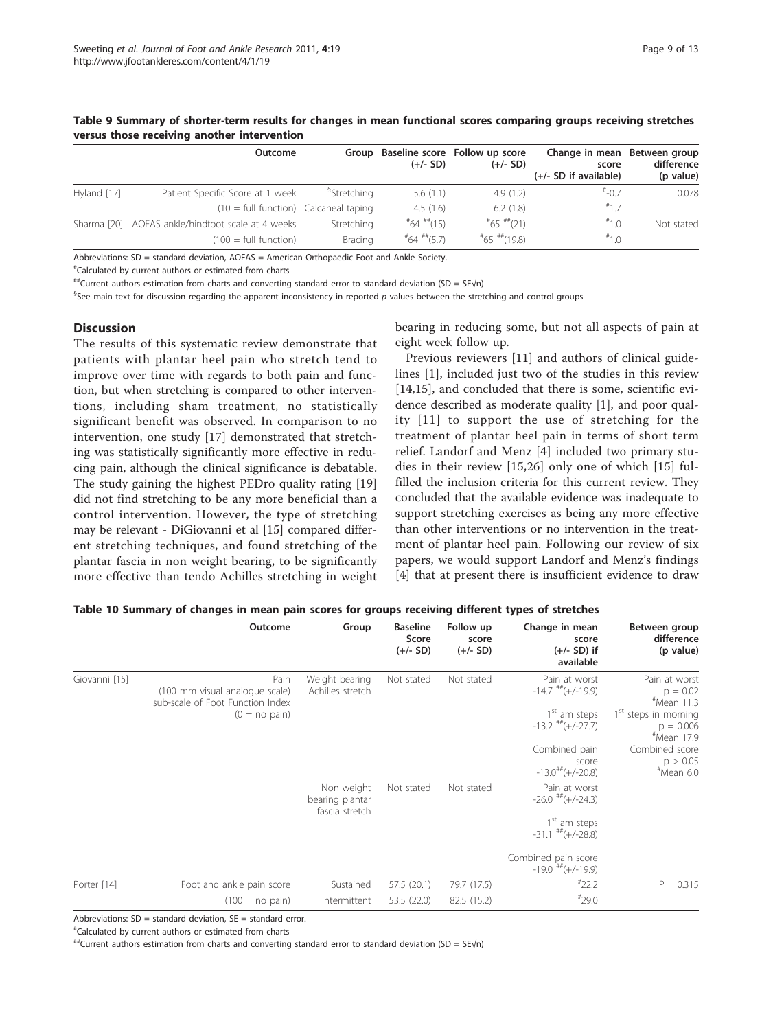<span id="page-8-0"></span>

| Table 9 Summary of shorter-term results for changes in mean functional scores comparing groups receiving stretches |  |  |  |
|--------------------------------------------------------------------------------------------------------------------|--|--|--|
| versus those receiving another intervention                                                                        |  |  |  |

|             | Outcome                                           | Group                   | $(+/- SD)$            | Baseline score Follow up score<br>$(+/- SD)$ | Change in mean Between group<br>score<br>$(+/- SD$ if available) | difference<br>(p value) |
|-------------|---------------------------------------------------|-------------------------|-----------------------|----------------------------------------------|------------------------------------------------------------------|-------------------------|
| Hyland [17] | Patient Specific Score at 1 week                  | <sup>9</sup> Stretching | 5.6(1.1)              | 4.9(1.2)                                     | $^{#}$ -0.7                                                      | 0.078                   |
|             | $(10 = full function)$ Calcaneal taping           |                         | 4.5(1.6)              | 6.2(1.8)                                     | #17                                                              |                         |
|             | Sharma [20] AOFAS ankle/hindfoot scale at 4 weeks | Stretching              | $^{#}$ 64 $^{#}$ (15) | $*65$ $**$ (21)                              | $*1.0$                                                           | Not stated              |
|             | $(100 = full function)$                           | <b>Bracing</b>          | $*64$ $**$ (5.7)      | $^{#}65$ $^{#}6(19.8)$                       | $*1.0$                                                           |                         |

Abbreviations: SD = standard deviation, AOFAS = American Orthopaedic Foot and Ankle Society.

# Calculated by current authors or estimated from charts

# Current authors estimation from charts and converting standard error to standard deviation (SD = SE $\sqrt{n}$ )

<sup>§</sup>See main text for discussion regarding the apparent inconsistency in reported p values between the stretching and control groups

#### **Discussion**

The results of this systematic review demonstrate that patients with plantar heel pain who stretch tend to improve over time with regards to both pain and function, but when stretching is compared to other interventions, including sham treatment, no statistically significant benefit was observed. In comparison to no intervention, one study [[17](#page-11-0)] demonstrated that stretching was statistically significantly more effective in reducing pain, although the clinical significance is debatable. The study gaining the highest PEDro quality rating [\[19](#page-11-0)] did not find stretching to be any more beneficial than a control intervention. However, the type of stretching may be relevant - DiGiovanni et al [[15\]](#page-11-0) compared different stretching techniques, and found stretching of the plantar fascia in non weight bearing, to be significantly more effective than tendo Achilles stretching in weight

bearing in reducing some, but not all aspects of pain at eight week follow up.

Previous reviewers [[11\]](#page-11-0) and authors of clinical guidelines [[1\]](#page-11-0), included just two of the studies in this review [[14,15\]](#page-11-0), and concluded that there is some, scientific evidence described as moderate quality [[1\]](#page-11-0), and poor quality [\[11](#page-11-0)] to support the use of stretching for the treatment of plantar heel pain in terms of short term relief. Landorf and Menz [[4\]](#page-11-0) included two primary studies in their review [[15,](#page-11-0)[26](#page-12-0)] only one of which [[15](#page-11-0)] fulfilled the inclusion criteria for this current review. They concluded that the available evidence was inadequate to support stretching exercises as being any more effective than other interventions or no intervention in the treatment of plantar heel pain. Following our review of six papers, we would support Landorf and Menz's findings [[4\]](#page-11-0) that at present there is insufficient evidence to draw

|               | Outcome                                                                                       | Group                                           | <b>Baseline</b><br>Score<br>$(+/- SD)$ | Follow up<br>score<br>$(+/- SD)$ | Change in mean<br>score<br>$(+/- SD)$ if<br>available                   | Between group<br>difference<br>(p value)                                      |
|---------------|-----------------------------------------------------------------------------------------------|-------------------------------------------------|----------------------------------------|----------------------------------|-------------------------------------------------------------------------|-------------------------------------------------------------------------------|
| Giovanni [15] | Pain<br>(100 mm visual analogue scale)<br>sub-scale of Foot Function Index<br>$(0 = no pain)$ | Weight bearing<br>Achilles stretch              | Not stated                             | Not stated                       | Pain at worst<br>$-14.7$ $^{***}$ (+/-19.9)<br>1 <sup>st</sup> am steps | Pain at worst<br>$p = 0.02$<br>"Mean 11.3<br>1 <sup>st</sup> steps in morning |
|               |                                                                                               |                                                 |                                        |                                  | $-13.2$ $^{***}$ (+/-27.7)                                              | $p = 0.006$<br>#Mean 17.9                                                     |
|               |                                                                                               |                                                 |                                        |                                  | Combined pain<br>score                                                  | Combined score<br>p > 0.05                                                    |
|               |                                                                                               |                                                 |                                        |                                  | $-13.0$ <sup>##</sup> $(+/-20.8)$                                       | "Mean 6.0                                                                     |
|               |                                                                                               | Non weight<br>bearing plantar<br>fascia stretch | Not stated                             | Not stated                       | Pain at worst<br>$-26.0$ $^{***}$ (+/-24.3)                             |                                                                               |
|               |                                                                                               |                                                 |                                        |                                  | 1 <sup>st</sup> am steps<br>$-31.1$ $^{***}$ (+/-28.8)                  |                                                                               |
|               |                                                                                               |                                                 |                                        |                                  | Combined pain score<br>$-19.0$ $^{***}$ (+/-19.9)                       |                                                                               |
| Porter [14]   | Foot and ankle pain score                                                                     | Sustained                                       | 57.5 (20.1)                            | 79.7 (17.5)                      | $*22.2$                                                                 | $P = 0.315$                                                                   |
|               | $(100 = no pain)$                                                                             | Intermittent                                    | 53.5 (22.0)                            | 82.5 (15.2)                      | $*29.0$                                                                 |                                                                               |

#### Table 10 Summary of changes in mean pain scores for groups receiving different types of stretches

Abbreviations:  $SD = standard deviation$ ,  $SE = standard error$ .

# Calculated by current authors or estimated from charts

# Current authors estimation from charts and converting standard error to standard deviation (SD = SE $\sqrt{n}$ )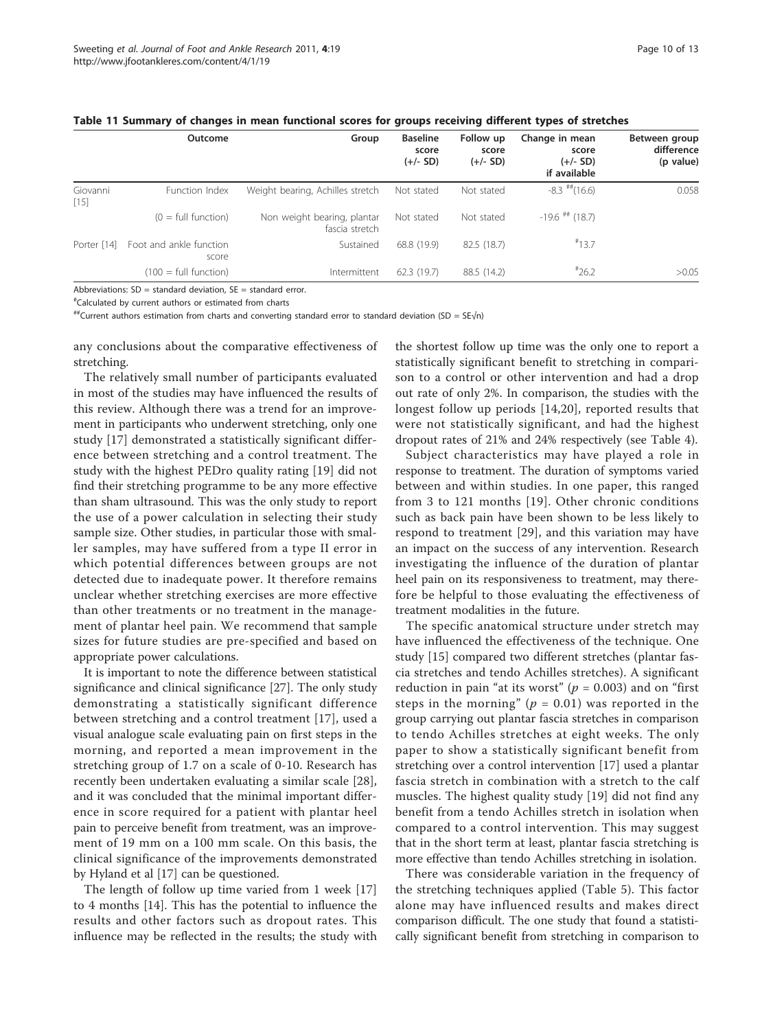<span id="page-9-0"></span>

| Table 11 Summary of changes in mean functional scores for groups receiving different types of stretches |  |
|---------------------------------------------------------------------------------------------------------|--|
|---------------------------------------------------------------------------------------------------------|--|

|                    | Outcome                          | Group                                         | <b>Baseline</b><br>score<br>$(+/- SD)$ | Follow up<br>score<br>$(+/- SD)$ | Change in mean<br>score<br>$(+/- SD)$<br>if available | Between group<br>difference<br>(p value) |
|--------------------|----------------------------------|-----------------------------------------------|----------------------------------------|----------------------------------|-------------------------------------------------------|------------------------------------------|
| Giovanni<br>$[15]$ | Function Index                   | Weight bearing, Achilles stretch              | Not stated                             | Not stated                       | $-8.3$ $\#$ (16.6)                                    | 0.058                                    |
|                    | $(0 = full function)$            | Non weight bearing, plantar<br>fascia stretch | Not stated                             | Not stated                       | $-19.6$ $^{***}$ (18.7)                               |                                          |
| Porter [14]        | Foot and ankle function<br>score | Sustained                                     | 68.8 (19.9)                            | 82.5 (18.7)                      | $*13.7$                                               |                                          |
|                    | $(100 = full function)$          | Intermittent                                  | 62.3(19.7)                             | 88.5 (14.2)                      | $*26.2$                                               | >0.05                                    |

 $A$ bbreviations:  $SD -$  standard deviation,  $SE -$  standard error.

# Calculated by current authors or estimated from charts

##Current authors estimation from charts and converting standard error to standard deviation (SD = SE $\sqrt{n}$ )

any conclusions about the comparative effectiveness of stretching.

The relatively small number of participants evaluated in most of the studies may have influenced the results of this review. Although there was a trend for an improvement in participants who underwent stretching, only one study [\[17](#page-11-0)] demonstrated a statistically significant difference between stretching and a control treatment. The study with the highest PEDro quality rating [\[19](#page-11-0)] did not find their stretching programme to be any more effective than sham ultrasound. This was the only study to report the use of a power calculation in selecting their study sample size. Other studies, in particular those with smaller samples, may have suffered from a type II error in which potential differences between groups are not detected due to inadequate power. It therefore remains unclear whether stretching exercises are more effective than other treatments or no treatment in the management of plantar heel pain. We recommend that sample sizes for future studies are pre-specified and based on appropriate power calculations.

It is important to note the difference between statistical significance and clinical significance [[27\]](#page-12-0). The only study demonstrating a statistically significant difference between stretching and a control treatment [\[17\]](#page-11-0), used a visual analogue scale evaluating pain on first steps in the morning, and reported a mean improvement in the stretching group of 1.7 on a scale of 0-10. Research has recently been undertaken evaluating a similar scale [[28](#page-12-0)], and it was concluded that the minimal important difference in score required for a patient with plantar heel pain to perceive benefit from treatment, was an improvement of 19 mm on a 100 mm scale. On this basis, the clinical significance of the improvements demonstrated by Hyland et al [\[17\]](#page-11-0) can be questioned.

The length of follow up time varied from 1 week [\[17](#page-11-0)] to 4 months [[14\]](#page-11-0). This has the potential to influence the results and other factors such as dropout rates. This influence may be reflected in the results; the study with

the shortest follow up time was the only one to report a statistically significant benefit to stretching in comparison to a control or other intervention and had a drop out rate of only 2%. In comparison, the studies with the longest follow up periods [[14,20](#page-11-0)], reported results that were not statistically significant, and had the highest dropout rates of 21% and 24% respectively (see Table [4\)](#page-5-0).

Subject characteristics may have played a role in response to treatment. The duration of symptoms varied between and within studies. In one paper, this ranged from 3 to 121 months [[19](#page-11-0)]. Other chronic conditions such as back pain have been shown to be less likely to respond to treatment [[29\]](#page-12-0), and this variation may have an impact on the success of any intervention. Research investigating the influence of the duration of plantar heel pain on its responsiveness to treatment, may therefore be helpful to those evaluating the effectiveness of treatment modalities in the future.

The specific anatomical structure under stretch may have influenced the effectiveness of the technique. One study [[15\]](#page-11-0) compared two different stretches (plantar fascia stretches and tendo Achilles stretches). A significant reduction in pain "at its worst" ( $p = 0.003$ ) and on "first steps in the morning" ( $p = 0.01$ ) was reported in the group carrying out plantar fascia stretches in comparison to tendo Achilles stretches at eight weeks. The only paper to show a statistically significant benefit from stretching over a control intervention [[17\]](#page-11-0) used a plantar fascia stretch in combination with a stretch to the calf muscles. The highest quality study [\[19](#page-11-0)] did not find any benefit from a tendo Achilles stretch in isolation when compared to a control intervention. This may suggest that in the short term at least, plantar fascia stretching is more effective than tendo Achilles stretching in isolation.

There was considerable variation in the frequency of the stretching techniques applied (Table [5\)](#page-5-0). This factor alone may have influenced results and makes direct comparison difficult. The one study that found a statistically significant benefit from stretching in comparison to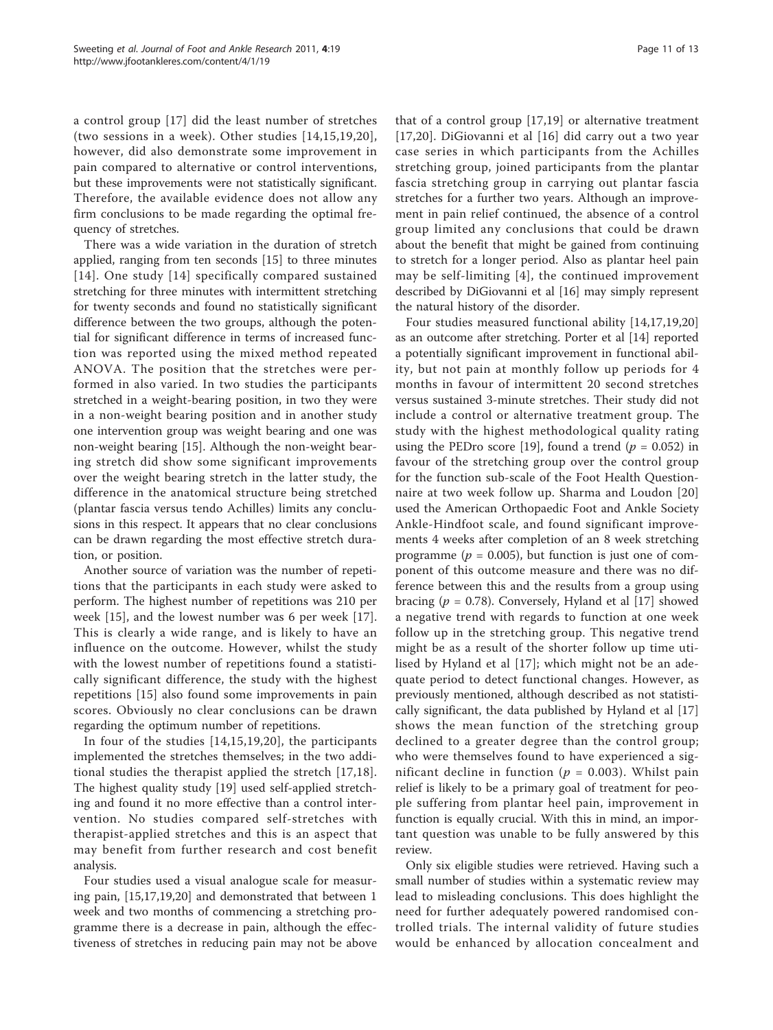a control group [[17\]](#page-11-0) did the least number of stretches (two sessions in a week). Other studies [[14,15](#page-11-0),[19](#page-11-0),[20\]](#page-11-0), however, did also demonstrate some improvement in pain compared to alternative or control interventions, but these improvements were not statistically significant. Therefore, the available evidence does not allow any firm conclusions to be made regarding the optimal frequency of stretches.

There was a wide variation in the duration of stretch applied, ranging from ten seconds [[15\]](#page-11-0) to three minutes [[14\]](#page-11-0). One study [[14\]](#page-11-0) specifically compared sustained stretching for three minutes with intermittent stretching for twenty seconds and found no statistically significant difference between the two groups, although the potential for significant difference in terms of increased function was reported using the mixed method repeated ANOVA. The position that the stretches were performed in also varied. In two studies the participants stretched in a weight-bearing position, in two they were in a non-weight bearing position and in another study one intervention group was weight bearing and one was non-weight bearing [\[15](#page-11-0)]. Although the non-weight bearing stretch did show some significant improvements over the weight bearing stretch in the latter study, the difference in the anatomical structure being stretched (plantar fascia versus tendo Achilles) limits any conclusions in this respect. It appears that no clear conclusions can be drawn regarding the most effective stretch duration, or position.

Another source of variation was the number of repetitions that the participants in each study were asked to perform. The highest number of repetitions was 210 per week [\[15](#page-11-0)], and the lowest number was 6 per week [\[17](#page-11-0)]. This is clearly a wide range, and is likely to have an influence on the outcome. However, whilst the study with the lowest number of repetitions found a statistically significant difference, the study with the highest repetitions [[15](#page-11-0)] also found some improvements in pain scores. Obviously no clear conclusions can be drawn regarding the optimum number of repetitions.

In four of the studies [[14](#page-11-0),[15,19,20](#page-11-0)], the participants implemented the stretches themselves; in the two additional studies the therapist applied the stretch [\[17,18](#page-11-0)]. The highest quality study [\[19](#page-11-0)] used self-applied stretching and found it no more effective than a control intervention. No studies compared self-stretches with therapist-applied stretches and this is an aspect that may benefit from further research and cost benefit analysis.

Four studies used a visual analogue scale for measuring pain, [[15,17,19,20\]](#page-11-0) and demonstrated that between 1 week and two months of commencing a stretching programme there is a decrease in pain, although the effectiveness of stretches in reducing pain may not be above

that of a control group [[17,19](#page-11-0)] or alternative treatment [[17](#page-11-0),[20\]](#page-11-0). DiGiovanni et al [[16\]](#page-11-0) did carry out a two year case series in which participants from the Achilles stretching group, joined participants from the plantar fascia stretching group in carrying out plantar fascia stretches for a further two years. Although an improvement in pain relief continued, the absence of a control group limited any conclusions that could be drawn about the benefit that might be gained from continuing to stretch for a longer period. Also as plantar heel pain may be self-limiting [\[4\]](#page-11-0), the continued improvement described by DiGiovanni et al [[16\]](#page-11-0) may simply represent the natural history of the disorder.

Four studies measured functional ability [[14,17,19,20](#page-11-0)] as an outcome after stretching. Porter et al [[14\]](#page-11-0) reported a potentially significant improvement in functional ability, but not pain at monthly follow up periods for 4 months in favour of intermittent 20 second stretches versus sustained 3-minute stretches. Their study did not include a control or alternative treatment group. The study with the highest methodological quality rating using the PEDro score [[19\]](#page-11-0), found a trend ( $p = 0.052$ ) in favour of the stretching group over the control group for the function sub-scale of the Foot Health Questionnaire at two week follow up. Sharma and Loudon [\[20](#page-11-0)] used the American Orthopaedic Foot and Ankle Society Ankle-Hindfoot scale, and found significant improvements 4 weeks after completion of an 8 week stretching programme ( $p = 0.005$ ), but function is just one of component of this outcome measure and there was no difference between this and the results from a group using bracing ( $p = 0.78$ ). Conversely, Hyland et al [[17\]](#page-11-0) showed a negative trend with regards to function at one week follow up in the stretching group. This negative trend might be as a result of the shorter follow up time utilised by Hyland et al [[17](#page-11-0)]; which might not be an adequate period to detect functional changes. However, as previously mentioned, although described as not statistically significant, the data published by Hyland et al [[17](#page-11-0)] shows the mean function of the stretching group declined to a greater degree than the control group; who were themselves found to have experienced a significant decline in function ( $p = 0.003$ ). Whilst pain relief is likely to be a primary goal of treatment for people suffering from plantar heel pain, improvement in function is equally crucial. With this in mind, an important question was unable to be fully answered by this review.

Only six eligible studies were retrieved. Having such a small number of studies within a systematic review may lead to misleading conclusions. This does highlight the need for further adequately powered randomised controlled trials. The internal validity of future studies would be enhanced by allocation concealment and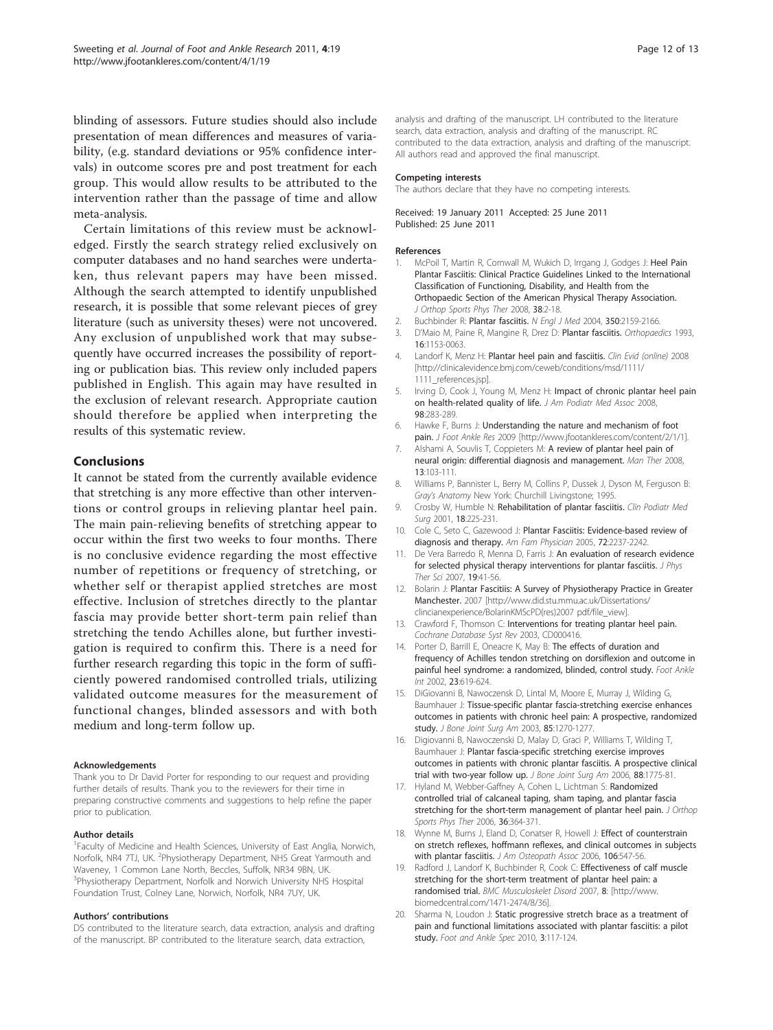<span id="page-11-0"></span>blinding of assessors. Future studies should also include presentation of mean differences and measures of variability, (e.g. standard deviations or 95% confidence intervals) in outcome scores pre and post treatment for each group. This would allow results to be attributed to the intervention rather than the passage of time and allow meta-analysis.

Certain limitations of this review must be acknowledged. Firstly the search strategy relied exclusively on computer databases and no hand searches were undertaken, thus relevant papers may have been missed. Although the search attempted to identify unpublished research, it is possible that some relevant pieces of grey literature (such as university theses) were not uncovered. Any exclusion of unpublished work that may subsequently have occurred increases the possibility of reporting or publication bias. This review only included papers published in English. This again may have resulted in the exclusion of relevant research. Appropriate caution should therefore be applied when interpreting the results of this systematic review.

# Conclusions

It cannot be stated from the currently available evidence that stretching is any more effective than other interventions or control groups in relieving plantar heel pain. The main pain-relieving benefits of stretching appear to occur within the first two weeks to four months. There is no conclusive evidence regarding the most effective number of repetitions or frequency of stretching, or whether self or therapist applied stretches are most effective. Inclusion of stretches directly to the plantar fascia may provide better short-term pain relief than stretching the tendo Achilles alone, but further investigation is required to confirm this. There is a need for further research regarding this topic in the form of sufficiently powered randomised controlled trials, utilizing validated outcome measures for the measurement of functional changes, blinded assessors and with both medium and long-term follow up.

#### Acknowledgements

Thank you to Dr David Porter for responding to our request and providing further details of results. Thank you to the reviewers for their time in preparing constructive comments and suggestions to help refine the paper prior to publication.

#### Author details

<sup>1</sup> Faculty of Medicine and Health Sciences, University of East Anglia, Norwich, Norfolk, NR4 7TJ, UK. <sup>2</sup>Physiotherapy Department, NHS Great Yarmouth and Waveney, 1 Common Lane North, Beccles, Suffolk, NR34 9BN, UK. <sup>3</sup> Physiotherapy Department, Norfolk and Norwich University NHS Hospital Foundation Trust, Colney Lane, Norwich, Norfolk, NR4 7UY, UK.

#### Authors' contributions

DS contributed to the literature search, data extraction, analysis and drafting of the manuscript. BP contributed to the literature search, data extraction,

analysis and drafting of the manuscript. LH contributed to the literature search, data extraction, analysis and drafting of the manuscript. RC contributed to the data extraction, analysis and drafting of the manuscript. All authors read and approved the final manuscript.

#### Competing interests

The authors declare that they have no competing interests.

Received: 19 January 2011 Accepted: 25 June 2011 Published: 25 June 2011

#### References

- 1. McPoil T, Martin R, Cornwall M, Wukich D, Irrgang J, Godges J: Heel Pain Plantar Fasciitis: Clinical Practice Guidelines Linked to the International Classification of Functioning, Disability, and Health from the Orthopaedic Section of the American Physical Therapy Association. J Orthop Sports Phys Ther 2008, 38:2-18.
- 2. Buchbinder R: **[Plantar fasciitis.](http://www.ncbi.nlm.nih.gov/pubmed/15152061?dopt=Abstract)** *N Engl J Med* 2004, **350**:2159-2166.<br>3. D'Maio M. Paine R. Mangine R. Drez D: **Plantar fasciitis**. *Orthonger*
- D'Maio M, Paine R, Mangine R, Drez D: Plantar fasciitis. Orthopaedics 1993, 16:1153-0063.
- 4. Landorf K, Menz H: Plantar heel pain and fasciitis. Clin Evid (online) 2008 [[http://clinicalevidence.bmj.com/ceweb/conditions/msd/1111/](http://clinicalevidence.bmj.com/ceweb/conditions/msd/1111/1111_references.jsp) [1111\\_references.jsp\]](http://clinicalevidence.bmj.com/ceweb/conditions/msd/1111/1111_references.jsp).
- 5. Irving D, Cook J, Young M, Menz H: [Impact of chronic plantar heel pain](http://www.ncbi.nlm.nih.gov/pubmed/18685048?dopt=Abstract) [on health-related quality of life.](http://www.ncbi.nlm.nih.gov/pubmed/18685048?dopt=Abstract) J Am Podiatr Med Assoc 2008, 98:283-289.
- 6. Hawke F, Burns J: Understanding the nature and mechanism of foot pain. J Foot Ankle Res 2009 [[http://www.jfootankleres.com/content/2/1/1\]](http://www.jfootankleres.com/content/2/1/1).
- 7. Alshami A, Souvlis T, Coppieters M: [A review of plantar heel pain of](http://www.ncbi.nlm.nih.gov/pubmed/17400020?dopt=Abstract) [neural origin: differential diagnosis and management.](http://www.ncbi.nlm.nih.gov/pubmed/17400020?dopt=Abstract) Man Ther 2008, 13:103-111.
- 8. Williams P, Bannister L, Berry M, Collins P, Dussek J, Dyson M, Ferguson B: Gray's Anatomy New York: Churchill Livingstone; 1995.
- 9. Crosby W, Humble N: [Rehabilitation of plantar fasciitis.](http://www.ncbi.nlm.nih.gov/pubmed/11417152?dopt=Abstract) Clin Podiatr Med Surg 2001, 18:225-231.
- 10. Cole C, Seto C, Gazewood J: [Plantar Fasciitis: Evidence-based review of](http://www.ncbi.nlm.nih.gov/pubmed/16342847?dopt=Abstract) [diagnosis and therapy.](http://www.ncbi.nlm.nih.gov/pubmed/16342847?dopt=Abstract) Am Fam Physician 2005, 72:2237-2242.
- 11. De Vera Barredo R, Menna D, Farris J: An evaluation of research evidence for selected physical therapy interventions for plantar fasciitis. J Phys Ther Sci 2007, 19:41-56.
- 12. Bolarin J: Plantar Fascitiis: A Survey of Physiotherapy Practice in Greater Manchester. 2007 [[http://www.did.stu.mmu.ac.uk/Dissertations/](http://www.did.stu.mmu.ac.uk/Dissertations/clincianexperience/BolarinKMScPD(res)2007 pdf/file_view) [clincianexperience/BolarinKMScPD\(res\)2007 pdf/file\\_view\]](http://www.did.stu.mmu.ac.uk/Dissertations/clincianexperience/BolarinKMScPD(res)2007 pdf/file_view).
- 13. Crawford F, Thomson C: Interventions for treating plantar heel pain. Cochrane Database Syst Rev 2003, CD000416.
- 14. Porter D, Barrill E, Oneacre K, May B: [The effects of duration and](http://www.ncbi.nlm.nih.gov/pubmed/12146772?dopt=Abstract) [frequency of Achilles tendon stretching on dorsiflexion and outcome in](http://www.ncbi.nlm.nih.gov/pubmed/12146772?dopt=Abstract) [painful heel syndrome: a randomized, blinded, control study.](http://www.ncbi.nlm.nih.gov/pubmed/12146772?dopt=Abstract) Foot Ankle Int 2002, 23:619-624.
- 15. DiGiovanni B, Nawoczensk D, Lintal M, Moore E, Murray J, Wilding G, Baumhauer J: [Tissue-specific plantar fascia-stretching exercise enhances](http://www.ncbi.nlm.nih.gov/pubmed/12851352?dopt=Abstract) [outcomes in patients with chronic heel pain: A prospective, randomized](http://www.ncbi.nlm.nih.gov/pubmed/12851352?dopt=Abstract) [study.](http://www.ncbi.nlm.nih.gov/pubmed/12851352?dopt=Abstract) J Bone Joint Surg Am 2003, 85:1270-1277.
- 16. Digiovanni B, Nawoczenski D, Malay D, Graci P, Williams T, Wilding T, Baumhauer J: [Plantar fascia-specific stretching exercise improves](http://www.ncbi.nlm.nih.gov/pubmed/16882901?dopt=Abstract) [outcomes in patients with chronic plantar fasciitis. A prospective clinical](http://www.ncbi.nlm.nih.gov/pubmed/16882901?dopt=Abstract) [trial with two-year follow up.](http://www.ncbi.nlm.nih.gov/pubmed/16882901?dopt=Abstract) J Bone Joint Surg Am 2006, 88:1775-81.
- 17. Hyland M, Webber-Gaffney A, Cohen L, Lichtman S: [Randomized](http://www.ncbi.nlm.nih.gov/pubmed/16776486?dopt=Abstract) [controlled trial of calcaneal taping, sham taping, and plantar fascia](http://www.ncbi.nlm.nih.gov/pubmed/16776486?dopt=Abstract) [stretching for the short-term management of plantar heel pain.](http://www.ncbi.nlm.nih.gov/pubmed/16776486?dopt=Abstract) J Orthop Sports Phys Ther 2006, 36:364-371.
- 18. Wynne M, Burns J, Eland D, Conatser R, Howell J: [Effect of counterstrain](http://www.ncbi.nlm.nih.gov/pubmed/17079524?dopt=Abstract) [on stretch reflexes, hoffmann reflexes, and clinical outcomes in subjects](http://www.ncbi.nlm.nih.gov/pubmed/17079524?dopt=Abstract) [with plantar fasciitis.](http://www.ncbi.nlm.nih.gov/pubmed/17079524?dopt=Abstract) J Am Osteopath Assoc 2006, 106:547-56.
- 19. Radford J, Landorf K, Buchbinder R, Cook C: Effectiveness of calf muscle stretching for the short-term treatment of plantar heel pain: a randomised trial. BMC Musculoskelet Disord 2007, 8: [[http://www.](http://www.biomedcentral.com/1471-2474/8/36) [biomedcentral.com/1471-2474/8/36\]](http://www.biomedcentral.com/1471-2474/8/36).
- 20. Sharma N, Loudon J: Static progressive stretch brace as a treatment of pain and functional limitations associated with plantar fasciitis: a pilot study. Foot and Ankle Spec 2010, 3:117-124.